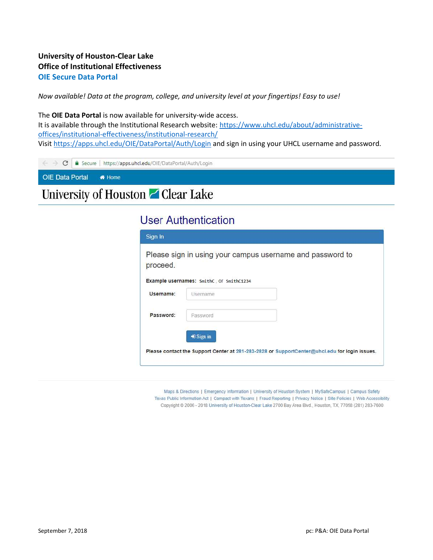#### University of Houston-Clear Lake Office of Institutional Effectiveness OIE Secure Data Portal

Now available! Data at the program, college, and university level at your fingertips! Easy to use!

The OIE Data Portal is now available for university-wide access. It is available through the Institutional Research website: https://www.uhcl.edu/about/administrativeoffices/institutional-effectiveness/institutional-research/ Visit https://apps.uhcl.edu/OIE/DataPortal/Auth/Login and sign in using your UHCL username and password.

|                        | $\leftarrow$ $\rightarrow$ $\mathbf{C}$   a Secure   https://apps.uhcl.edu/OIE/DataPortal/Auth/Login |
|------------------------|------------------------------------------------------------------------------------------------------|
| OIE Data Portal # Home |                                                                                                      |
|                        | the company's company's company's                                                                    |

### University of Houston Z Clear Lake

| <b>User Authentication</b> |  |  |
|----------------------------|--|--|

| proceed.  |                                          |  |  |
|-----------|------------------------------------------|--|--|
|           | Example usernames: SmithC, OF SmithC1234 |  |  |
| Username: | Username                                 |  |  |
| Password: | Password                                 |  |  |
|           | <b>■</b> Sign in                         |  |  |

Maps & Directions | Emergency Information | University of Houston System | MySafeCampus | Campus Safety Texas Public Information Act | Compact with Texans | Fraud Reporting | Privacy Notice | Site Policies | Web Accessibility Copyright @ 2006 - 2018 University of Houston-Clear Lake 2700 Bay Area Blvd., Houston, TX, 77058 (281) 283-7600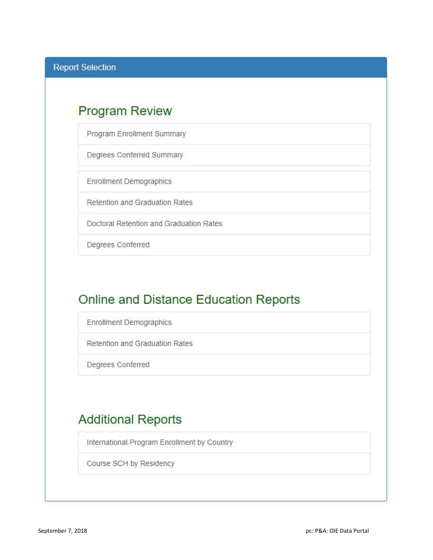## **Program Review**

Program Enrollment Summary

Degrees Conferred Summary

**Enrollment Demographics** 

Retention and Graduation Rates

Doctoral Retention and Graduation Rates

Degrees Conferred

## **Online and Distance Education Reports**

Enrollment Demographics

Retention and Graduation Rates

Degrees Conferred

# **Additional Reports**

International Program Enrollment by Country

Course SCH by Residency